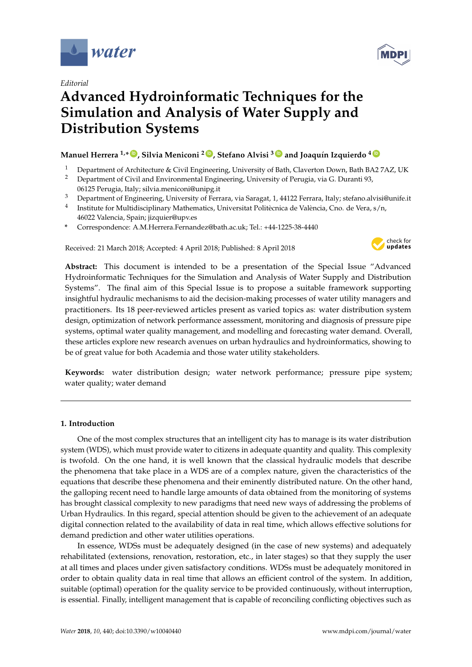

*Editorial*

# **Advanced Hydroinformatic Techniques for the Simulation and Analysis of Water Supply and Distribution Systems**

# **Manuel Herrera 1,\* [ID](https://orcid.org/0000-0001-9662-0017) , Silvia Meniconi <sup>2</sup> [ID](https://orcid.org/0000-0001-7843-7147) , Stefano Alvisi <sup>3</sup> [ID](https://orcid.org/0000-0002-5690-2092) and Joaquín Izquierdo <sup>4</sup> [ID](https://orcid.org/0000-0002-6625-7226)**

- <sup>1</sup> Department of Architecture & Civil Engineering, University of Bath, Claverton Down, Bath BA2 7AZ, UK<br><sup>2</sup> Department of Civil and Environmental Engineering, University of Perugia via C. Duranti 93
- <sup>2</sup> Department of Civil and Environmental Engineering, University of Perugia, via G. Duranti 93, 06125 Perugia, Italy; silvia.meniconi@unipg.it
- <sup>3</sup> Department of Engineering, University of Ferrara, via Saragat, 1, 44122 Ferrara, Italy; stefano.alvisi@unife.it
- <sup>4</sup> Institute for Multidisciplinary Mathematics, Universitat Politècnica de València, Cno. de Vera, s/n, 46022 Valencia, Spain; jizquier@upv.es
- **\*** Correspondence: A.M.Herrera.Fernandez@bath.ac.uk; Tel.: +44-1225-38-4440

Received: 21 March 2018; Accepted: 4 April 2018; Published: 8 April 2018



**Abstract:** This document is intended to be a presentation of the Special Issue "Advanced Hydroinformatic Techniques for the Simulation and Analysis of Water Supply and Distribution Systems". The final aim of this Special Issue is to propose a suitable framework supporting insightful hydraulic mechanisms to aid the decision-making processes of water utility managers and practitioners. Its 18 peer-reviewed articles present as varied topics as: water distribution system design, optimization of network performance assessment, monitoring and diagnosis of pressure pipe systems, optimal water quality management, and modelling and forecasting water demand. Overall, these articles explore new research avenues on urban hydraulics and hydroinformatics, showing to be of great value for both Academia and those water utility stakeholders.

**Keywords:** water distribution design; water network performance; pressure pipe system; water quality; water demand

# **1. Introduction**

One of the most complex structures that an intelligent city has to manage is its water distribution system (WDS), which must provide water to citizens in adequate quantity and quality. This complexity is twofold. On the one hand, it is well known that the classical hydraulic models that describe the phenomena that take place in a WDS are of a complex nature, given the characteristics of the equations that describe these phenomena and their eminently distributed nature. On the other hand, the galloping recent need to handle large amounts of data obtained from the monitoring of systems has brought classical complexity to new paradigms that need new ways of addressing the problems of Urban Hydraulics. In this regard, special attention should be given to the achievement of an adequate digital connection related to the availability of data in real time, which allows effective solutions for demand prediction and other water utilities operations.

In essence, WDSs must be adequately designed (in the case of new systems) and adequately rehabilitated (extensions, renovation, restoration, etc., in later stages) so that they supply the user at all times and places under given satisfactory conditions. WDSs must be adequately monitored in order to obtain quality data in real time that allows an efficient control of the system. In addition, suitable (optimal) operation for the quality service to be provided continuously, without interruption, is essential. Finally, intelligent management that is capable of reconciling conflicting objectives such as

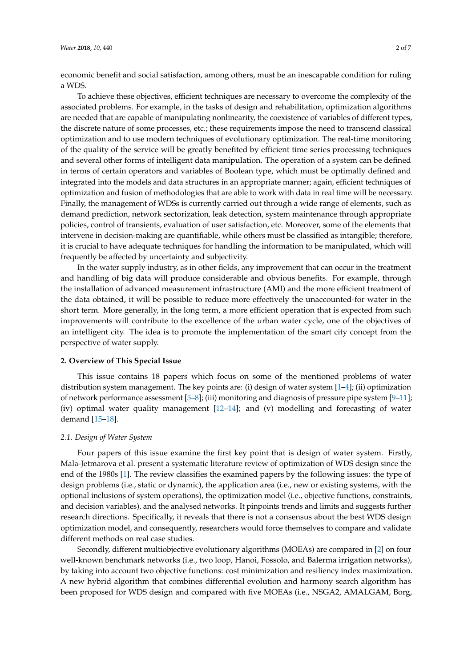economic benefit and social satisfaction, among others, must be an inescapable condition for ruling a WDS.

To achieve these objectives, efficient techniques are necessary to overcome the complexity of the associated problems. For example, in the tasks of design and rehabilitation, optimization algorithms are needed that are capable of manipulating nonlinearity, the coexistence of variables of different types, the discrete nature of some processes, etc.; these requirements impose the need to transcend classical optimization and to use modern techniques of evolutionary optimization. The real-time monitoring of the quality of the service will be greatly benefited by efficient time series processing techniques and several other forms of intelligent data manipulation. The operation of a system can be defined in terms of certain operators and variables of Boolean type, which must be optimally defined and integrated into the models and data structures in an appropriate manner; again, efficient techniques of optimization and fusion of methodologies that are able to work with data in real time will be necessary. Finally, the management of WDSs is currently carried out through a wide range of elements, such as demand prediction, network sectorization, leak detection, system maintenance through appropriate policies, control of transients, evaluation of user satisfaction, etc. Moreover, some of the elements that intervene in decision-making are quantifiable, while others must be classified as intangible; therefore, it is crucial to have adequate techniques for handling the information to be manipulated, which will frequently be affected by uncertainty and subjectivity.

In the water supply industry, as in other fields, any improvement that can occur in the treatment and handling of big data will produce considerable and obvious benefits. For example, through the installation of advanced measurement infrastructure (AMI) and the more efficient treatment of the data obtained, it will be possible to reduce more effectively the unaccounted-for water in the short term. More generally, in the long term, a more efficient operation that is expected from such improvements will contribute to the excellence of the urban water cycle, one of the objectives of an intelligent city. The idea is to promote the implementation of the smart city concept from the perspective of water supply.

#### **2. Overview of This Special Issue**

This issue contains 18 papers which focus on some of the mentioned problems of water distribution system management. The key points are: (i) design of water system [\[1–](#page-5-0)[4\]](#page-5-1); (ii) optimization of network performance assessment [\[5–](#page-5-2)[8\]](#page-5-3); (iii) monitoring and diagnosis of pressure pipe system [\[9](#page-5-4)[–11\]](#page-5-5); (iv) optimal water quality management [\[12–](#page-6-0)[14\]](#page-6-1); and (v) modelling and forecasting of water demand [\[15–](#page-6-2)[18\]](#page-6-3).

#### *2.1. Design of Water System*

Four papers of this issue examine the first key point that is design of water system. Firstly, Mala-Jetmarova et al. present a systematic literature review of optimization of WDS design since the end of the 1980s [\[1\]](#page-5-0). The review classifies the examined papers by the following issues: the type of design problems (i.e., static or dynamic), the application area (i.e., new or existing systems, with the optional inclusions of system operations), the optimization model (i.e., objective functions, constraints, and decision variables), and the analysed networks. It pinpoints trends and limits and suggests further research directions. Specifically, it reveals that there is not a consensus about the best WDS design optimization model, and consequently, researchers would force themselves to compare and validate different methods on real case studies.

Secondly, different multiobjective evolutionary algorithms (MOEAs) are compared in [\[2\]](#page-5-6) on four well-known benchmark networks (i.e., two loop, Hanoi, Fossolo, and Balerma irrigation networks), by taking into account two objective functions: cost minimization and resiliency index maximization. A new hybrid algorithm that combines differential evolution and harmony search algorithm has been proposed for WDS design and compared with five MOEAs (i.e., NSGA2, AMALGAM, Borg,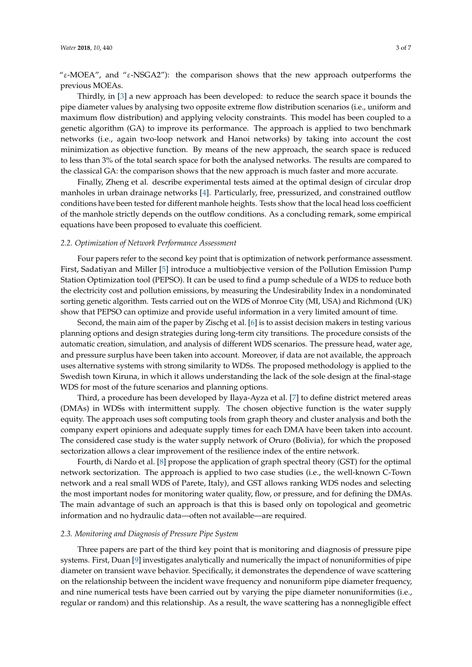"ε-MOEA", and "ε-NSGA2"): the comparison shows that the new approach outperforms the previous MOEAs.

Thirdly, in [\[3\]](#page-5-7) a new approach has been developed: to reduce the search space it bounds the pipe diameter values by analysing two opposite extreme flow distribution scenarios (i.e., uniform and maximum flow distribution) and applying velocity constraints. This model has been coupled to a genetic algorithm (GA) to improve its performance. The approach is applied to two benchmark networks (i.e., again two-loop network and Hanoi networks) by taking into account the cost minimization as objective function. By means of the new approach, the search space is reduced to less than 3% of the total search space for both the analysed networks. The results are compared to the classical GA: the comparison shows that the new approach is much faster and more accurate.

Finally, Zheng et al. describe experimental tests aimed at the optimal design of circular drop manholes in urban drainage networks [\[4\]](#page-5-1). Particularly, free, pressurized, and constrained outflow conditions have been tested for different manhole heights. Tests show that the local head loss coefficient of the manhole strictly depends on the outflow conditions. As a concluding remark, some empirical equations have been proposed to evaluate this coefficient.

#### *2.2. Optimization of Network Performance Assessment*

Four papers refer to the second key point that is optimization of network performance assessment. First, Sadatiyan and Miller [\[5\]](#page-5-2) introduce a multiobjective version of the Pollution Emission Pump Station Optimization tool (PEPSO). It can be used to find a pump schedule of a WDS to reduce both the electricity cost and pollution emissions, by measuring the Undesirability Index in a nondominated sorting genetic algorithm. Tests carried out on the WDS of Monroe City (MI, USA) and Richmond (UK) show that PEPSO can optimize and provide useful information in a very limited amount of time.

Second, the main aim of the paper by Zischg et al. [\[6\]](#page-5-8) is to assist decision makers in testing various planning options and design strategies during long-term city transitions. The procedure consists of the automatic creation, simulation, and analysis of different WDS scenarios. The pressure head, water age, and pressure surplus have been taken into account. Moreover, if data are not available, the approach uses alternative systems with strong similarity to WDSs. The proposed methodology is applied to the Swedish town Kiruna, in which it allows understanding the lack of the sole design at the final-stage WDS for most of the future scenarios and planning options.

Third, a procedure has been developed by Ilaya-Ayza et al. [\[7\]](#page-5-9) to define district metered areas (DMAs) in WDSs with intermittent supply. The chosen objective function is the water supply equity. The approach uses soft computing tools from graph theory and cluster analysis and both the company expert opinions and adequate supply times for each DMA have been taken into account. The considered case study is the water supply network of Oruro (Bolivia), for which the proposed sectorization allows a clear improvement of the resilience index of the entire network.

Fourth, di Nardo et al. [\[8\]](#page-5-3) propose the application of graph spectral theory (GST) for the optimal network sectorization. The approach is applied to two case studies (i.e., the well-known C-Town network and a real small WDS of Parete, Italy), and GST allows ranking WDS nodes and selecting the most important nodes for monitoring water quality, flow, or pressure, and for defining the DMAs. The main advantage of such an approach is that this is based only on topological and geometric information and no hydraulic data—often not available—are required.

### *2.3. Monitoring and Diagnosis of Pressure Pipe System*

Three papers are part of the third key point that is monitoring and diagnosis of pressure pipe systems. First, Duan [\[9\]](#page-5-4) investigates analytically and numerically the impact of nonuniformities of pipe diameter on transient wave behavior. Specifically, it demonstrates the dependence of wave scattering on the relationship between the incident wave frequency and nonuniform pipe diameter frequency, and nine numerical tests have been carried out by varying the pipe diameter nonuniformities (i.e., regular or random) and this relationship. As a result, the wave scattering has a nonnegligible effect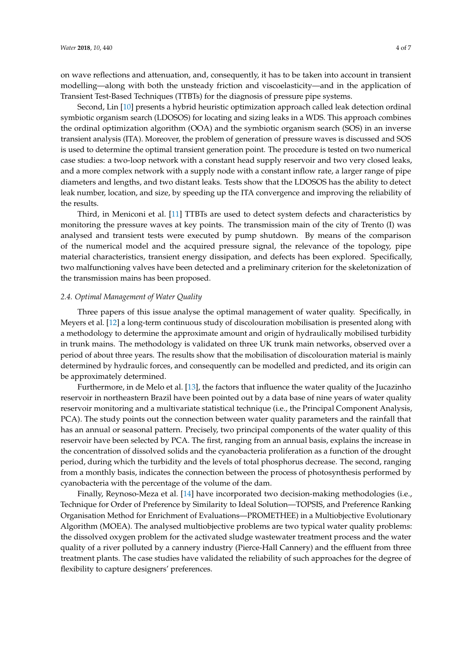on wave reflections and attenuation, and, consequently, it has to be taken into account in transient modelling—along with both the unsteady friction and viscoelasticity—and in the application of Transient Test-Based Techniques (TTBTs) for the diagnosis of pressure pipe systems.

Second, Lin [\[10\]](#page-5-10) presents a hybrid heuristic optimization approach called leak detection ordinal symbiotic organism search (LDOSOS) for locating and sizing leaks in a WDS. This approach combines the ordinal optimization algorithm (OOA) and the symbiotic organism search (SOS) in an inverse transient analysis (ITA). Moreover, the problem of generation of pressure waves is discussed and SOS is used to determine the optimal transient generation point. The procedure is tested on two numerical case studies: a two-loop network with a constant head supply reservoir and two very closed leaks, and a more complex network with a supply node with a constant inflow rate, a larger range of pipe diameters and lengths, and two distant leaks. Tests show that the LDOSOS has the ability to detect leak number, location, and size, by speeding up the ITA convergence and improving the reliability of the results.

Third, in Meniconi et al. [\[11\]](#page-5-5) TTBTs are used to detect system defects and characteristics by monitoring the pressure waves at key points. The transmission main of the city of Trento (I) was analysed and transient tests were executed by pump shutdown. By means of the comparison of the numerical model and the acquired pressure signal, the relevance of the topology, pipe material characteristics, transient energy dissipation, and defects has been explored. Specifically, two malfunctioning valves have been detected and a preliminary criterion for the skeletonization of the transmission mains has been proposed.

#### *2.4. Optimal Management of Water Quality*

Three papers of this issue analyse the optimal management of water quality. Specifically, in Meyers et al. [\[12\]](#page-6-0) a long-term continuous study of discolouration mobilisation is presented along with a methodology to determine the approximate amount and origin of hydraulically mobilised turbidity in trunk mains. The methodology is validated on three UK trunk main networks, observed over a period of about three years. The results show that the mobilisation of discolouration material is mainly determined by hydraulic forces, and consequently can be modelled and predicted, and its origin can be approximately determined.

Furthermore, in de Melo et al. [\[13\]](#page-6-4), the factors that influence the water quality of the Jucazinho reservoir in northeastern Brazil have been pointed out by a data base of nine years of water quality reservoir monitoring and a multivariate statistical technique (i.e., the Principal Component Analysis, PCA). The study points out the connection between water quality parameters and the rainfall that has an annual or seasonal pattern. Precisely, two principal components of the water quality of this reservoir have been selected by PCA. The first, ranging from an annual basis, explains the increase in the concentration of dissolved solids and the cyanobacteria proliferation as a function of the drought period, during which the turbidity and the levels of total phosphorus decrease. The second, ranging from a monthly basis, indicates the connection between the process of photosynthesis performed by cyanobacteria with the percentage of the volume of the dam.

Finally, Reynoso-Meza et al. [\[14\]](#page-6-1) have incorporated two decision-making methodologies (i.e., Technique for Order of Preference by Similarity to Ideal Solution—TOPSIS, and Preference Ranking Organisation Method for Enrichment of Evaluations—PROMETHEE) in a Multiobjective Evolutionary Algorithm (MOEA). The analysed multiobjective problems are two typical water quality problems: the dissolved oxygen problem for the activated sludge wastewater treatment process and the water quality of a river polluted by a cannery industry (Pierce-Hall Cannery) and the effluent from three treatment plants. The case studies have validated the reliability of such approaches for the degree of flexibility to capture designers' preferences.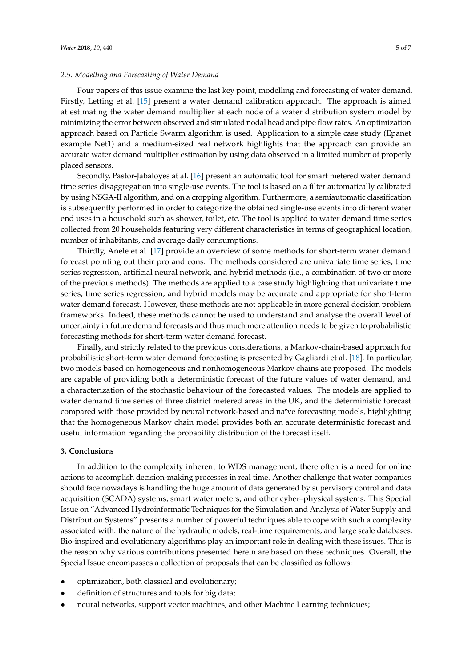### *2.5. Modelling and Forecasting of Water Demand*

Four papers of this issue examine the last key point, modelling and forecasting of water demand. Firstly, Letting et al. [\[15\]](#page-6-2) present a water demand calibration approach. The approach is aimed at estimating the water demand multiplier at each node of a water distribution system model by minimizing the error between observed and simulated nodal head and pipe flow rates. An optimization approach based on Particle Swarm algorithm is used. Application to a simple case study (Epanet example Net1) and a medium-sized real network highlights that the approach can provide an accurate water demand multiplier estimation by using data observed in a limited number of properly placed sensors.

Secondly, Pastor-Jabaloyes at al. [\[16\]](#page-6-5) present an automatic tool for smart metered water demand time series disaggregation into single-use events. The tool is based on a filter automatically calibrated by using NSGA-II algorithm, and on a cropping algorithm. Furthermore, a semiautomatic classification is subsequently performed in order to categorize the obtained single-use events into different water end uses in a household such as shower, toilet, etc. The tool is applied to water demand time series collected from 20 households featuring very different characteristics in terms of geographical location, number of inhabitants, and average daily consumptions.

Thirdly, Anele et al. [\[17\]](#page-6-6) provide an overview of some methods for short-term water demand forecast pointing out their pro and cons. The methods considered are univariate time series, time series regression, artificial neural network, and hybrid methods (i.e., a combination of two or more of the previous methods). The methods are applied to a case study highlighting that univariate time series, time series regression, and hybrid models may be accurate and appropriate for short-term water demand forecast. However, these methods are not applicable in more general decision problem frameworks. Indeed, these methods cannot be used to understand and analyse the overall level of uncertainty in future demand forecasts and thus much more attention needs to be given to probabilistic forecasting methods for short-term water demand forecast.

Finally, and strictly related to the previous considerations, a Markov-chain-based approach for probabilistic short-term water demand forecasting is presented by Gagliardi et al. [\[18\]](#page-6-3). In particular, two models based on homogeneous and nonhomogeneous Markov chains are proposed. The models are capable of providing both a deterministic forecast of the future values of water demand, and a characterization of the stochastic behaviour of the forecasted values. The models are applied to water demand time series of three district metered areas in the UK, and the deterministic forecast compared with those provided by neural network-based and naïve forecasting models, highlighting that the homogeneous Markov chain model provides both an accurate deterministic forecast and useful information regarding the probability distribution of the forecast itself.

#### **3. Conclusions**

In addition to the complexity inherent to WDS management, there often is a need for online actions to accomplish decision-making processes in real time. Another challenge that water companies should face nowadays is handling the huge amount of data generated by supervisory control and data acquisition (SCADA) systems, smart water meters, and other cyber–physical systems. This Special Issue on "Advanced Hydroinformatic Techniques for the Simulation and Analysis of Water Supply and Distribution Systems" presents a number of powerful techniques able to cope with such a complexity associated with: the nature of the hydraulic models, real-time requirements, and large scale databases. Bio-inspired and evolutionary algorithms play an important role in dealing with these issues. This is the reason why various contributions presented herein are based on these techniques. Overall, the Special Issue encompasses a collection of proposals that can be classified as follows:

- optimization, both classical and evolutionary;
- definition of structures and tools for big data;
- neural networks, support vector machines, and other Machine Learning techniques;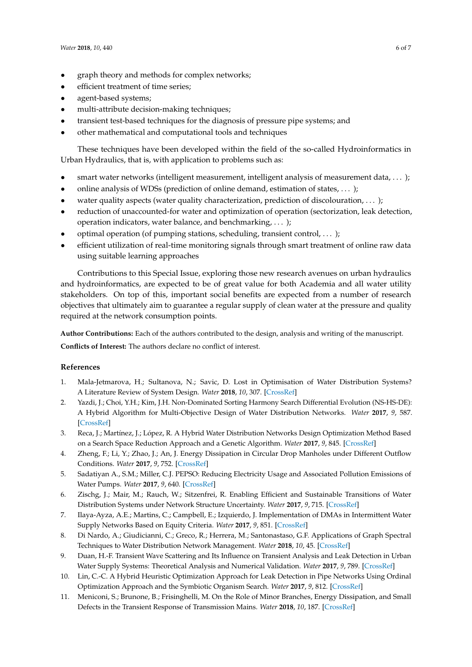- graph theory and methods for complex networks;
- efficient treatment of time series;
- agent-based systems;
- multi-attribute decision-making techniques;
- transient test-based techniques for the diagnosis of pressure pipe systems; and
- other mathematical and computational tools and techniques

These techniques have been developed within the field of the so-called Hydroinformatics in Urban Hydraulics, that is, with application to problems such as:

- smart water networks (intelligent measurement, intelligent analysis of measurement data, . . . );
- online analysis of WDSs (prediction of online demand, estimation of states, . . . );
- water quality aspects (water quality characterization, prediction of discolouration, ... );
- reduction of unaccounted-for water and optimization of operation (sectorization, leak detection, operation indicators, water balance, and benchmarking, . . . );
- optimal operation (of pumping stations, scheduling, transient control, . . . );
- efficient utilization of real-time monitoring signals through smart treatment of online raw data using suitable learning approaches

Contributions to this Special Issue, exploring those new research avenues on urban hydraulics and hydroinformatics, are expected to be of great value for both Academia and all water utility stakeholders. On top of this, important social benefits are expected from a number of research objectives that ultimately aim to guarantee a regular supply of clean water at the pressure and quality required at the network consumption points.

**Author Contributions:** Each of the authors contributed to the design, analysis and writing of the manuscript. **Conflicts of Interest:** The authors declare no conflict of interest.

# **References**

- <span id="page-5-0"></span>1. Mala-Jetmarova, H.; Sultanova, N.; Savic, D. Lost in Optimisation of Water Distribution Systems? A Literature Review of System Design. *Water* **2018**, *10*, 307. [\[CrossRef\]](http://dx.doi.org/10.3390/w10030307)
- <span id="page-5-6"></span>2. Yazdi, J.; Choi, Y.H.; Kim, J.H. Non-Dominated Sorting Harmony Search Differential Evolution (NS-HS-DE): A Hybrid Algorithm for Multi-Objective Design of Water Distribution Networks. *Water* **2017**, *9*, 587. [\[CrossRef\]](http://dx.doi.org/10.3390/w9080587)
- <span id="page-5-7"></span>3. Reca, J.; Martínez, J.; López, R. A Hybrid Water Distribution Networks Design Optimization Method Based on a Search Space Reduction Approach and a Genetic Algorithm. *Water* **2017**, *9*, 845. [\[CrossRef\]](http://dx.doi.org/10.3390/w9110845)
- <span id="page-5-1"></span>4. Zheng, F.; Li, Y.; Zhao, J.; An, J. Energy Dissipation in Circular Drop Manholes under Different Outflow Conditions. *Water* **2017**, *9*, 752. [\[CrossRef\]](http://dx.doi.org/10.3390/w9100752)
- <span id="page-5-2"></span>5. Sadatiyan A., S.M.; Miller, C.J. PEPSO: Reducing Electricity Usage and Associated Pollution Emissions of Water Pumps. *Water* **2017**, *9*, 640. [\[CrossRef\]](http://dx.doi.org/10.3390/w9090640)
- <span id="page-5-8"></span>6. Zischg, J.; Mair, M.; Rauch, W.; Sitzenfrei, R. Enabling Efficient and Sustainable Transitions of Water Distribution Systems under Network Structure Uncertainty. *Water* **2017**, *9*, 715. [\[CrossRef\]](http://dx.doi.org/10.3390/w9090715)
- <span id="page-5-9"></span>7. Ilaya-Ayza, A.E.; Martins, C.; Campbell, E.; Izquierdo, J. Implementation of DMAs in Intermittent Water Supply Networks Based on Equity Criteria. *Water* **2017**, *9*, 851. [\[CrossRef\]](http://dx.doi.org/10.3390/w9110851)
- <span id="page-5-3"></span>8. Di Nardo, A.; Giudicianni, C.; Greco, R.; Herrera, M.; Santonastaso, G.F. Applications of Graph Spectral Techniques to Water Distribution Network Management. *Water* **2018**, *10*, 45. [\[CrossRef\]](http://dx.doi.org/10.3390/w10010045)
- <span id="page-5-4"></span>9. Duan, H.-F. Transient Wave Scattering and Its Influence on Transient Analysis and Leak Detection in Urban Water Supply Systems: Theoretical Analysis and Numerical Validation. *Water* **2017**, *9*, 789. [\[CrossRef\]](http://dx.doi.org/10.3390/w9100789)
- <span id="page-5-10"></span>10. Lin, C.-C. A Hybrid Heuristic Optimization Approach for Leak Detection in Pipe Networks Using Ordinal Optimization Approach and the Symbiotic Organism Search. *Water* **2017**, *9*, 812. [\[CrossRef\]](http://dx.doi.org/10.3390/w9100812)
- <span id="page-5-5"></span>11. Meniconi, S.; Brunone, B.; Frisinghelli, M. On the Role of Minor Branches, Energy Dissipation, and Small Defects in the Transient Response of Transmission Mains. *Water* **2018**, *10*, 187. [\[CrossRef\]](http://dx.doi.org/10.3390/w10020187)